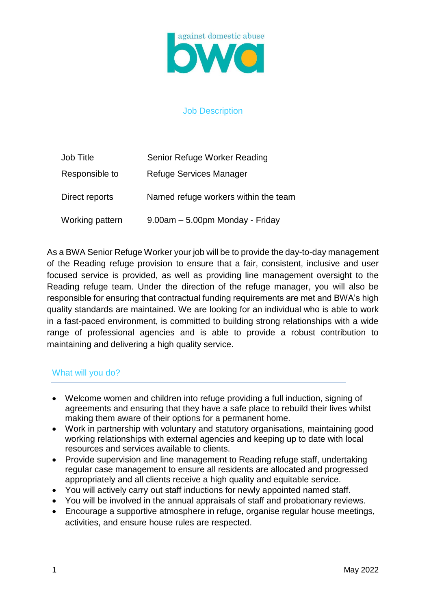

## Job Description

| Job Title       | Senior Refuge Worker Reading         |
|-----------------|--------------------------------------|
| Responsible to  | Refuge Services Manager              |
| Direct reports  | Named refuge workers within the team |
| Working pattern | 9.00am - 5.00pm Monday - Friday      |

As a BWA Senior Refuge Worker your job will be to provide the day-to-day management of the Reading refuge provision to ensure that a fair, consistent, inclusive and user focused service is provided, as well as providing line management oversight to the Reading refuge team. Under the direction of the refuge manager, you will also be responsible for ensuring that contractual funding requirements are met and BWA's high quality standards are maintained. We are looking for an individual who is able to work in a fast-paced environment, is committed to building strong relationships with a wide range of professional agencies and is able to provide a robust contribution to maintaining and delivering a high quality service.

# What will you do?

- Welcome women and children into refuge providing a full induction, signing of agreements and ensuring that they have a safe place to rebuild their lives whilst making them aware of their options for a permanent home.
- Work in partnership with voluntary and statutory organisations, maintaining good working relationships with external agencies and keeping up to date with local resources and services available to clients.
- Provide supervision and line management to Reading refuge staff, undertaking regular case management to ensure all residents are allocated and progressed appropriately and all clients receive a high quality and equitable service.
- You will actively carry out staff inductions for newly appointed named staff.
- You will be involved in the annual appraisals of staff and probationary reviews.
- Encourage a supportive atmosphere in refuge, organise regular house meetings, activities, and ensure house rules are respected.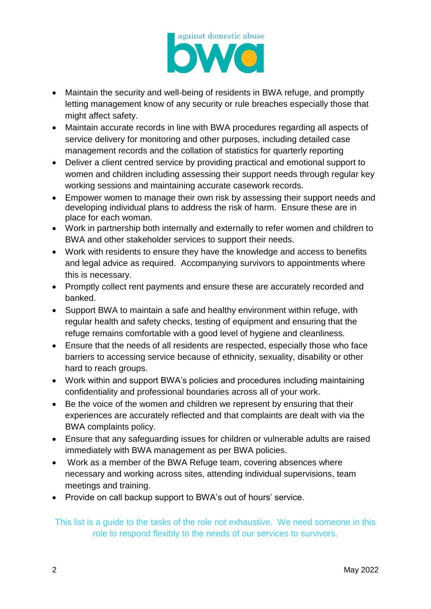

- Maintain the security and well-being of residents in BWA refuge, and promptly letting management know of any security or rule breaches especially those that might affect safety.
- Maintain accurate records in line with BWA procedures regarding all aspects of service delivery for monitoring and other purposes, including detailed case management records and the collation of statistics for quarterly reporting
- Deliver a client centred service by providing practical and emotional support to women and children including assessing their support needs through regular key working sessions and maintaining accurate casework records.
- Empower women to manage their own risk by assessing their support needs and developing individual plans to address the risk of harm. Ensure these are in place for each woman.
- Work in partnership both internally and externally to refer women and children to BWA and other stakeholder services to support their needs.
- Work with residents to ensure they have the knowledge and access to benefits and legal advice as required. Accompanying survivors to appointments where this is necessary.
- Promptly collect rent payments and ensure these are accurately recorded and banked.
- Support BWA to maintain a safe and healthy environment within refuge, with regular health and safety checks, testing of equipment and ensuring that the refuge remains comfortable with a good level of hygiene and cleanliness.
- Ensure that the needs of all residents are respected, especially those who face barriers to accessing service because of ethnicity, sexuality, disability or other hard to reach groups.
- Work within and support BWA's policies and procedures including maintaining confidentiality and professional boundaries across all of your work.
- Be the voice of the women and children we represent by ensuring that their experiences are accurately reflected and that complaints are dealt with via the BWA complaints policy.
- Ensure that any safeguarding issues for children or vulnerable adults are raised immediately with BWA management as per BWA policies.
- Work as a member of the BWA Refuge team, covering absences where necessary and working across sites, attending individual supervisions, team meetings and training.
- Provide on call backup support to BWA's out of hours' service.

This list is a guide to the tasks of the role not exhaustive. We need someone in this role to respond flexibly to the needs of our services to survivors.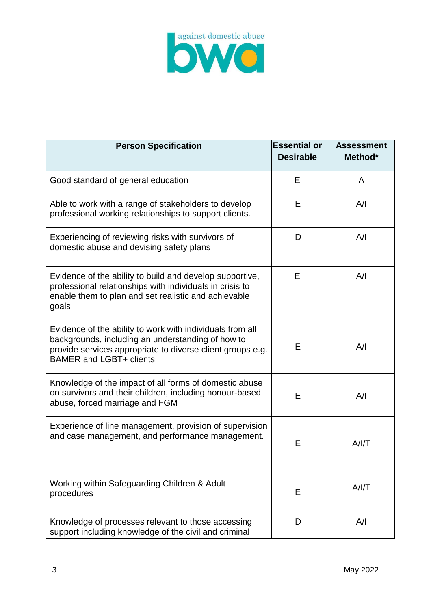

| <b>Person Specification</b>                                                                                                                                                                                    | <b>Essential or</b><br><b>Desirable</b> | <b>Assessment</b><br>Method* |
|----------------------------------------------------------------------------------------------------------------------------------------------------------------------------------------------------------------|-----------------------------------------|------------------------------|
| Good standard of general education                                                                                                                                                                             | Е                                       | A                            |
| Able to work with a range of stakeholders to develop<br>professional working relationships to support clients.                                                                                                 | E                                       | A/I                          |
| Experiencing of reviewing risks with survivors of<br>domestic abuse and devising safety plans                                                                                                                  | D                                       | A/I                          |
| Evidence of the ability to build and develop supportive,<br>professional relationships with individuals in crisis to<br>enable them to plan and set realistic and achievable<br>goals                          | Е                                       | A/I                          |
| Evidence of the ability to work with individuals from all<br>backgrounds, including an understanding of how to<br>provide services appropriate to diverse client groups e.g.<br><b>BAMER and LGBT+ clients</b> | E                                       | A/I                          |
| Knowledge of the impact of all forms of domestic abuse<br>on survivors and their children, including honour-based<br>abuse, forced marriage and FGM                                                            | E                                       | A/I                          |
| Experience of line management, provision of supervision<br>and case management, and performance management.                                                                                                    | E                                       | A/IT                         |
| Working within Safeguarding Children & Adult<br>procedures                                                                                                                                                     | E                                       | A/I/T                        |
| Knowledge of processes relevant to those accessing<br>support including knowledge of the civil and criminal                                                                                                    | D                                       | A/I                          |